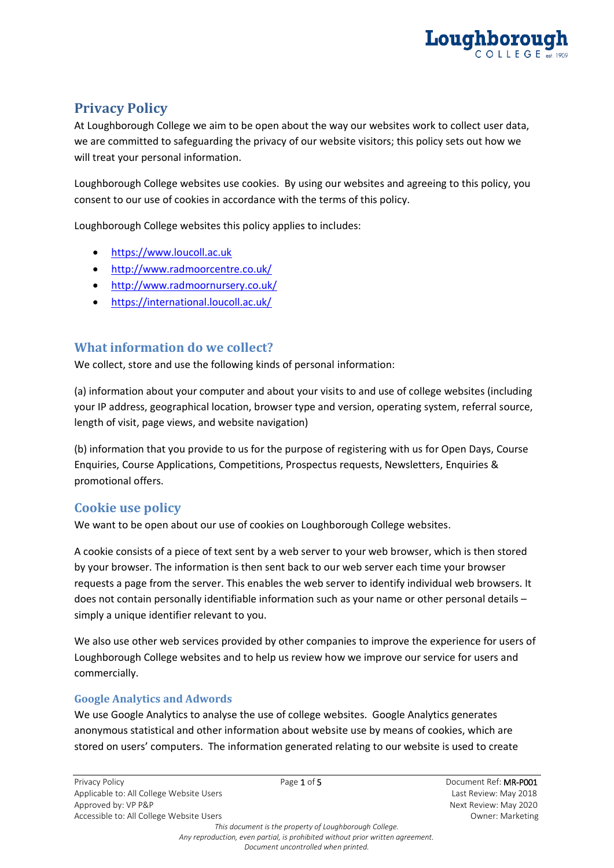

# **Privacy Policy**

At Loughborough College we aim to be open about the way our websites work to collect user data, we are committed to safeguarding the privacy of our website visitors; this policy sets out how we will treat your personal information.

Loughborough College websites use cookies. By using our websites and agreeing to this policy, you consent to our use of cookies in accordance with the terms of this policy.

Loughborough College websites this policy applies to includes:

- [https://www.loucoll.ac.uk](https://www.loucoll.ac.uk/)
- <http://www.radmoorcentre.co.uk/>
- <http://www.radmoornursery.co.uk/>
- <https://international.loucoll.ac.uk/>

# **What information do we collect?**

We collect, store and use the following kinds of personal information:

(a) information about your computer and about your visits to and use of college websites (including your IP address, geographical location, browser type and version, operating system, referral source, length of visit, page views, and website navigation)

(b) information that you provide to us for the purpose of registering with us for Open Days, Course Enquiries, Course Applications, Competitions, Prospectus requests, Newsletters, Enquiries & promotional offers.

# **Cookie use policy**

We want to be open about our use of cookies on Loughborough College websites.

A cookie consists of a piece of text sent by a web server to your web browser, which is then stored by your browser. The information is then sent back to our web server each time your browser requests a page from the server. This enables the web server to identify individual web browsers. It does not contain personally identifiable information such as your name or other personal details – simply a unique identifier relevant to you.

We also use other web services provided by other companies to improve the experience for users of Loughborough College websites and to help us review how we improve our service for users and commercially.

#### **Google Analytics and Adwords**

We use Google Analytics to analyse the use of college websites. Google Analytics generates anonymous statistical and other information about website use by means of cookies, which are stored on users' computers. The information generated relating to our website is used to create

*This document is the property of Loughborough College. Any reproduction, even partial, is prohibited without prior written agreement. Document uncontrolled when printed.*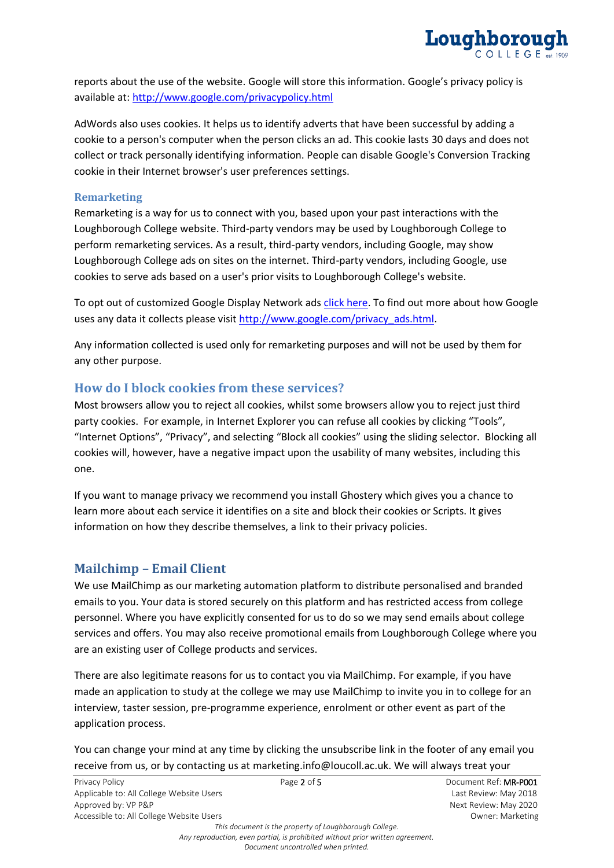

reports about the use of the website. Google will store this information. Google's privacy policy is available at:<http://www.google.com/privacypolicy.html>

AdWords also uses cookies. It helps us to identify adverts that have been successful by adding a cookie to a person's computer when the person clicks an ad. This cookie lasts 30 days and does not collect or track personally identifying information. People can disable Google's Conversion Tracking cookie in their Internet browser's user preferences settings.

#### **Remarketing**

Remarketing is a way for us to connect with you, based upon your past interactions with the Loughborough College website. Third-party vendors may be used by Loughborough College to perform remarketing services. As a result, third-party vendors, including Google, may show Loughborough College ads on sites on the internet. Third-party vendors, including Google, use cookies to serve ads based on a user's prior visits to Loughborough College's website.

To opt out of customized Google Display Network ads [click here.](https://www.google.com/settings/u/0/ads?hl=en&hl=en&hl=en&sig=ACi0TChA4aSMdy18ab8WCxaTusujng5L0pMnOuQeNMS-wXDuoGyRfbCld7xRTcubJTYgXpvpSZE5nZxiHmp4SbQlLWVahXhml8R-gFWVHwdr6ESynbybBTt9FMwvyj9Sb1oST_mh3BW18goqiPKACcVLojY_R24nz1VT8SOLQG4CpJT94nHPVKc) To find out more about how Google uses any data it collects please visit [http://www.google.com/privacy\\_ads.html.](http://www.google.com/privacy_ads.html) 

Any information collected is used only for remarketing purposes and will not be used by them for any other purpose.

### **How do I block cookies from these services?**

Most browsers allow you to reject all cookies, whilst some browsers allow you to reject just third party cookies. For example, in Internet Explorer you can refuse all cookies by clicking "Tools", "Internet Options", "Privacy", and selecting "Block all cookies" using the sliding selector. Blocking all cookies will, however, have a negative impact upon the usability of many websites, including this one.

If you want to manage privacy we recommend you install Ghostery which gives you a chance to learn more about each service it identifies on a site and block their cookies or Scripts. It gives information on how they describe themselves, a link to their privacy policies.

#### **Mailchimp – Email Client**

We use MailChimp as our marketing automation platform to distribute personalised and branded emails to you. Your data is stored securely on this platform and has restricted access from college personnel. Where you have explicitly consented for us to do so we may send emails about college services and offers. You may also receive promotional emails from Loughborough College where you are an existing user of College products and services.

There are also legitimate reasons for us to contact you via MailChimp. For example, if you have made an application to study at the college we may use MailChimp to invite you in to college for an interview, taster session, pre-programme experience, enrolment or other event as part of the application process.

You can change your mind at any time by clicking the unsubscribe link in the footer of any email you receive from us, or by contacting us at marketing.info@loucoll.ac.uk. We will always treat your

| Privacy Policy                           | Page 2 of 5                                            | Document Ref: MR-P001 |
|------------------------------------------|--------------------------------------------------------|-----------------------|
| Applicable to: All College Website Users |                                                        | Last Review: May 2018 |
| Approved by: VP P&P                      |                                                        | Next Review: May 2020 |
| Accessible to: All College Website Users |                                                        | Owner: Marketing      |
|                                          | This document is the property of Loughborough College. |                       |
|                                          |                                                        |                       |

*Any reproduction, even partial, is prohibited without prior written agreement. Document uncontrolled when printed.*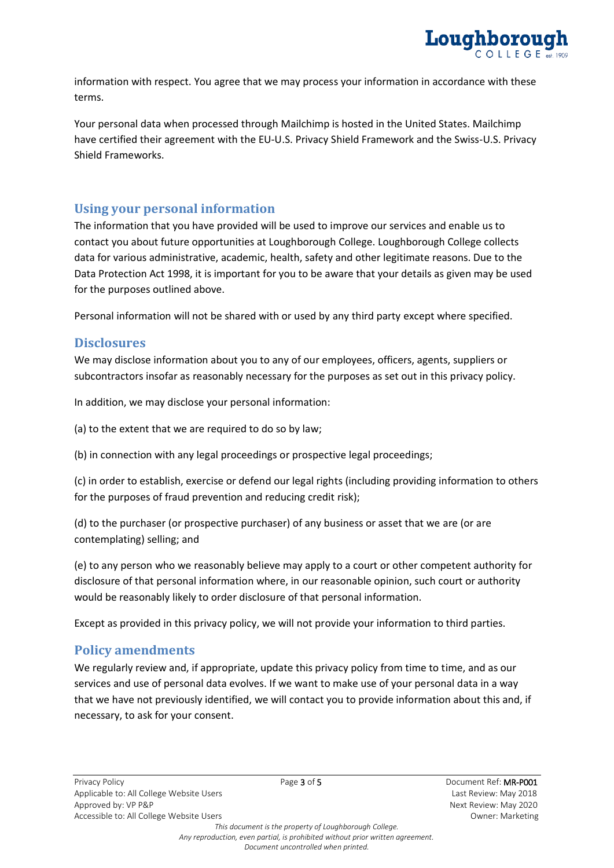

information with respect. You agree that we may process your information in accordance with these terms.

Your personal data when processed through Mailchimp is hosted in the United States. Mailchimp have certified their agreement with the EU-U.S. Privacy Shield Framework and the Swiss-U.S. Privacy Shield Frameworks.

### **Using your personal information**

The information that you have provided will be used to improve our services and enable us to contact you about future opportunities at Loughborough College. Loughborough College collects data for various administrative, academic, health, safety and other legitimate reasons. Due to the Data Protection Act 1998, it is important for you to be aware that your details as given may be used for the purposes outlined above.

Personal information will not be shared with or used by any third party except where specified.

#### **Disclosures**

We may disclose information about you to any of our employees, officers, agents, suppliers or subcontractors insofar as reasonably necessary for the purposes as set out in this privacy policy.

In addition, we may disclose your personal information:

(a) to the extent that we are required to do so by law;

(b) in connection with any legal proceedings or prospective legal proceedings;

(c) in order to establish, exercise or defend our legal rights (including providing information to others for the purposes of fraud prevention and reducing credit risk);

(d) to the purchaser (or prospective purchaser) of any business or asset that we are (or are contemplating) selling; and

(e) to any person who we reasonably believe may apply to a court or other competent authority for disclosure of that personal information where, in our reasonable opinion, such court or authority would be reasonably likely to order disclosure of that personal information.

Except as provided in this privacy policy, we will not provide your information to third parties.

### **Policy amendments**

We regularly review and, if appropriate, update this privacy policy from time to time, and as our services and use of personal data evolves. If we want to make use of your personal data in a way that we have not previously identified, we will contact you to provide information about this and, if necessary, to ask for your consent.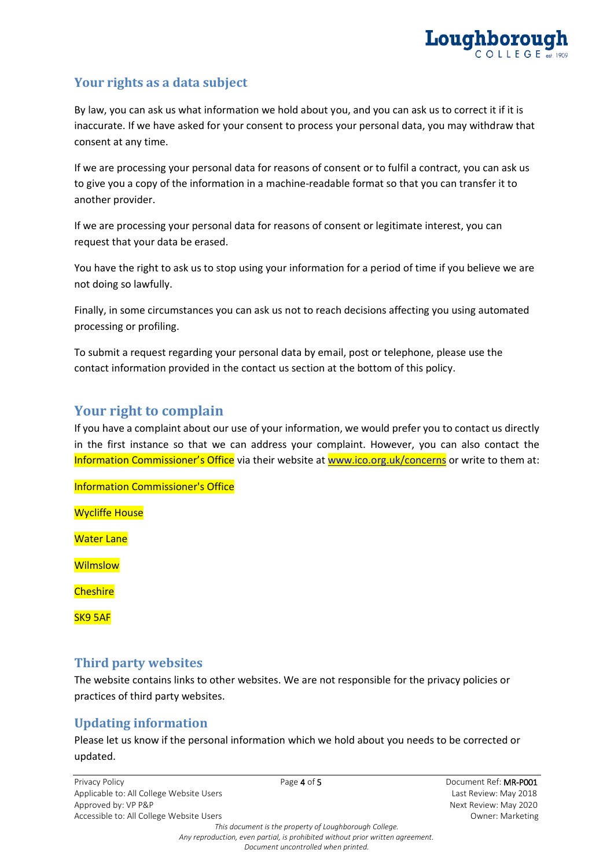

# **Your rights as a data subject**

By law, you can ask us what information we hold about you, and you can ask us to correct it if it is inaccurate. If we have asked for your consent to process your personal data, you may withdraw that consent at any time.

If we are processing your personal data for reasons of consent or to fulfil a contract, you can ask us to give you a copy of the information in a machine-readable format so that you can transfer it to another provider.

If we are processing your personal data for reasons of consent or legitimate interest, you can request that your data be erased.

You have the right to ask us to stop using your information for a period of time if you believe we are not doing so lawfully.

Finally, in some circumstances you can ask us not to reach decisions affecting you using automated processing or profiling.

To submit a request regarding your personal data by email, post or telephone, please use the contact information provided in the contact us section at the bottom of this policy.

# **Your right to complain**

If you have a complaint about our use of your information, we would prefer you to contact us directly in the first instance so that we can address your complaint. However, you can also contact the Information Commissioner's Office via their website at [www.ico.org.uk/concerns](http://www.ico.org.uk/concerns) or write to them at:

Information Commissioner's Office

Wycliffe House

Water Lane

**Wilmslow** 

**Cheshire** 

SK9 5AF

### **Third party websites**

The website contains links to other websites. We are not responsible for the privacy policies or practices of third party websites.

### **Updating information**

Please let us know if the personal information which we hold about you needs to be corrected or updated.

Privacy Policy **Page 4 of 5** Page 4 of 5 **Document Ref: MR-P001** Document Ref: **MR-P001** Applicable to: All College Website Users Last Review: May 2018 Approved by: VP P&P Next Review: May 2020 Accessible to: All College Website Users **Owner: Marketing Owner: Marketing** 

*This document is the property of Loughborough College. Any reproduction, even partial, is prohibited without prior written agreement. Document uncontrolled when printed.*